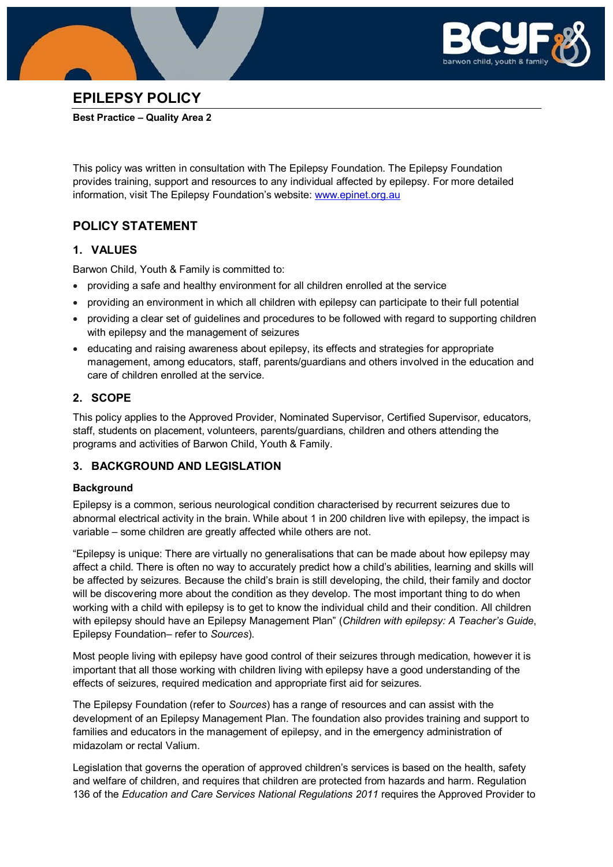



# **EPILEPSY POLICY**

#### **Best Practice – Quality Area 2**

This policy was written in consultation with The Epilepsy Foundation. The Epilepsy Foundation provides training, support and resources to any individual affected by epilepsy. For more detailed information, visit The Epilepsy Foundation's website: [www.epinet.org.au](http://www.epinet.org.au/)

# **POLICY STATEMENT**

## **1. VALUES**

Barwon Child, Youth & Family is committed to:

- providing a safe and healthy environment for all children enrolled at the service
- providing an environment in which all children with epilepsy can participate to their full potential
- providing a clear set of guidelines and procedures to be followed with regard to supporting children with epilepsy and the management of seizures
- educating and raising awareness about epilepsy, its effects and strategies for appropriate management, among educators, staff, parents/guardians and others involved in the education and care of children enrolled at the service.

## **2. SCOPE**

This policy applies to the Approved Provider, Nominated Supervisor, Certified Supervisor, educators, staff, students on placement, volunteers, parents/guardians, children and others attending the programs and activities of Barwon Child, Youth & Family.

## **3. BACKGROUND AND LEGISLATION**

### **Background**

Epilepsy is a common, serious neurological condition characterised by recurrent seizures due to abnormal electrical activity in the brain. While about 1 in 200 children live with epilepsy, the impact is variable – some children are greatly affected while others are not.

"Epilepsy is unique: There are virtually no generalisations that can be made about how epilepsy may affect a child. There is often no way to accurately predict how a child's abilities, learning and skills will be affected by seizures. Because the child's brain is still developing, the child, their family and doctor will be discovering more about the condition as they develop. The most important thing to do when working with a child with epilepsy is to get to know the individual child and their condition. All children with epilepsy should have an Epilepsy Management Plan" (*Children with epilepsy: A Teacher's Guide*, Epilepsy Foundation– refer to *Sources*).

Most people living with epilepsy have good control of their seizures through medication, however it is important that all those working with children living with epilepsy have a good understanding of the effects of seizures, required medication and appropriate first aid for seizures.

The Epilepsy Foundation (refer to *Sources*) has a range of resources and can assist with the development of an Epilepsy Management Plan. The foundation also provides training and support to families and educators in the management of epilepsy, and in the emergency administration of midazolam or rectal Valium.

Legislation that governs the operation of approved children's services is based on the health, safety and welfare of children, and requires that children are protected from hazards and harm. Regulation 136 of the *Education and Care Services National Regulations 2011* requires the Approved Provider to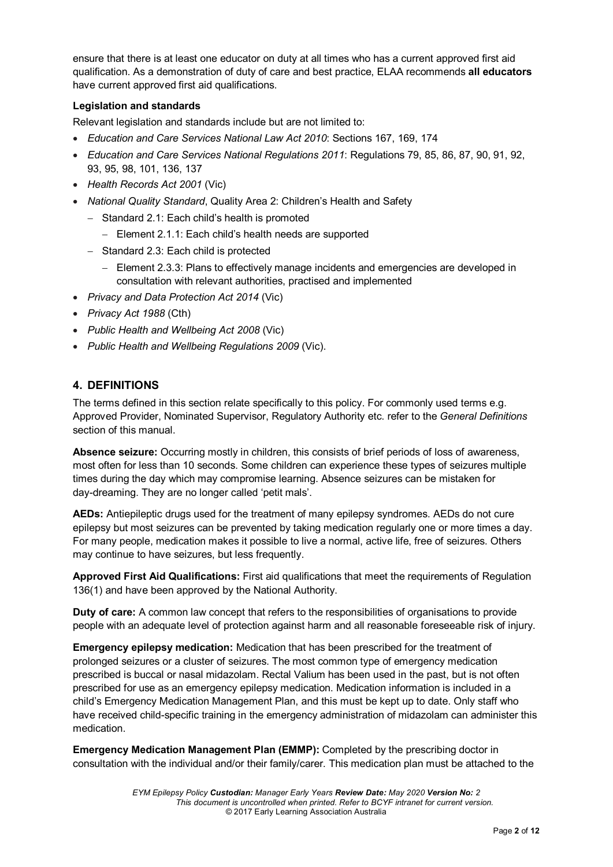ensure that there is at least one educator on duty at all times who has a current approved first aid qualification. As a demonstration of duty of care and best practice, ELAA recommends **all educators** have current approved first aid qualifications.

#### **Legislation and standards**

Relevant legislation and standards include but are not limited to:

- *Education and Care Services National Law Act 2010*: Sections 167, 169, 174
- *Education and Care Services National Regulations 2011*: Regulations 79, 85, 86, 87, 90, 91, 92, 93, 95, 98, 101, 136, 137
- *Health Records Act 2001* (Vic)
- *National Quality Standard*, Quality Area 2: Children's Health and Safety
	- − Standard 2.1: Each child's health is promoted
		- − Element 2.1.1: Each child's health needs are supported
	- − Standard 2.3: Each child is protected
		- − Element 2.3.3: Plans to effectively manage incidents and emergencies are developed in consultation with relevant authorities, practised and implemented
- *Privacy and Data Protection Act 2014* (Vic)
- *Privacy Act 1988* (Cth)
- *Public Health and Wellbeing Act 2008* (Vic)
- *Public Health and Wellbeing Regulations 2009* (Vic).

## **4. DEFINITIONS**

The terms defined in this section relate specifically to this policy. For commonly used terms e.g. Approved Provider, Nominated Supervisor, Regulatory Authority etc. refer to the *General Definitions* section of this manual.

**Absence seizure:** Occurring mostly in children, this consists of brief periods of loss of awareness, most often for less than 10 seconds. Some children can experience these types of seizures multiple times during the day which may compromise learning. Absence seizures can be mistaken for day-dreaming. They are no longer called 'petit mals'.

**AEDs:** Antiepileptic drugs used for the treatment of many epilepsy syndromes. AEDs do not cure epilepsy but most seizures can be prevented by taking medication regularly one or more times a day. For many people, medication makes it possible to live a normal, active life, free of seizures. Others may continue to have seizures, but less frequently.

**Approved First Aid Qualifications:** First aid qualifications that meet the requirements of Regulation 136(1) and have been approved by the National Authority.

**Duty of care:** A common law concept that refers to the responsibilities of organisations to provide people with an adequate level of protection against harm and all reasonable foreseeable risk of injury.

**Emergency epilepsy medication:** Medication that has been prescribed for the treatment of prolonged seizures or a cluster of seizures. The most common type of emergency medication prescribed is buccal or nasal midazolam. Rectal Valium has been used in the past, but is not often prescribed for use as an emergency epilepsy medication. Medication information is included in a child's Emergency Medication Management Plan, and this must be kept up to date. Only staff who have received child-specific training in the emergency administration of midazolam can administer this medication.

**Emergency Medication Management Plan (EMMP):** Completed by the prescribing doctor in consultation with the individual and/or their family/carer. This medication plan must be attached to the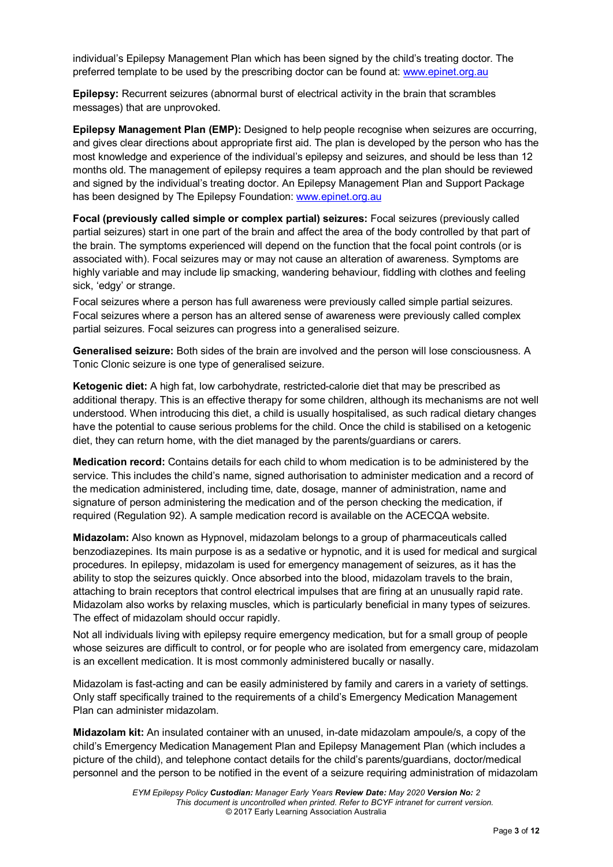individual's Epilepsy Management Plan which has been signed by the child's treating doctor. The preferred template to be used by the prescribing doctor can be found at: [www.epinet.org.au](http://www.epinet.org.au/)

**Epilepsy:** Recurrent seizures (abnormal burst of electrical activity in the brain that scrambles messages) that are unprovoked.

**Epilepsy Management Plan (EMP):** Designed to help people recognise when seizures are occurring, and gives clear directions about appropriate first aid. The plan is developed by the person who has the most knowledge and experience of the individual's epilepsy and seizures, and should be less than 12 months old. The management of epilepsy requires a team approach and the plan should be reviewed and signed by the individual's treating doctor. An Epilepsy Management Plan and Support Package has been designed by The Epilepsy Foundation[: www.epinet.org.au](http://www.epinet.org.au/)

**Focal (previously called simple or complex partial) seizures:** Focal seizures (previously called partial seizures) start in one part of the brain and affect the area of the body controlled by that part of the brain. The symptoms experienced will depend on the function that the focal point controls (or is associated with). Focal seizures may or may not cause an alteration of awareness. Symptoms are highly variable and may include lip smacking, wandering behaviour, fiddling with clothes and feeling sick, 'edgy' or strange.

Focal seizures where a person has full awareness were previously called simple partial seizures. Focal seizures where a person has an altered sense of awareness were previously called complex partial seizures. Focal seizures can progress into a generalised seizure.

**Generalised seizure:** Both sides of the brain are involved and the person will lose consciousness. A Tonic Clonic seizure is one type of generalised seizure.

**Ketogenic diet:** A high fat, low carbohydrate, restricted-calorie diet that may be prescribed as additional therapy. This is an effective therapy for some children, although its mechanisms are not well understood. When introducing this diet, a child is usually hospitalised, as such radical dietary changes have the potential to cause serious problems for the child. Once the child is stabilised on a ketogenic diet, they can return home, with the diet managed by the parents/guardians or carers.

**Medication record:** Contains details for each child to whom medication is to be administered by the service. This includes the child's name, signed authorisation to administer medication and a record of the medication administered, including time, date, dosage, manner of administration, name and signature of person administering the medication and of the person checking the medication, if required (Regulation 92). A sample medication record is available on the ACECQA website.

**Midazolam:** Also known as Hypnovel, midazolam belongs to a group of pharmaceuticals called benzodiazepines. Its main purpose is as a sedative or hypnotic, and it is used for medical and surgical procedures. In epilepsy, midazolam is used for emergency management of seizures, as it has the ability to stop the seizures quickly. Once absorbed into the blood, midazolam travels to the brain, attaching to brain receptors that control electrical impulses that are firing at an unusually rapid rate. Midazolam also works by relaxing muscles, which is particularly beneficial in many types of seizures. The effect of midazolam should occur rapidly.

Not all individuals living with epilepsy require emergency medication, but for a small group of people whose seizures are difficult to control, or for people who are isolated from emergency care, midazolam is an excellent medication. It is most commonly administered bucally or nasally.

Midazolam is fast-acting and can be easily administered by family and carers in a variety of settings. Only staff specifically trained to the requirements of a child's Emergency Medication Management Plan can administer midazolam.

**Midazolam kit:** An insulated container with an unused, in-date midazolam ampoule/s, a copy of the child's Emergency Medication Management Plan and Epilepsy Management Plan (which includes a picture of the child), and telephone contact details for the child's parents/guardians, doctor/medical personnel and the person to be notified in the event of a seizure requiring administration of midazolam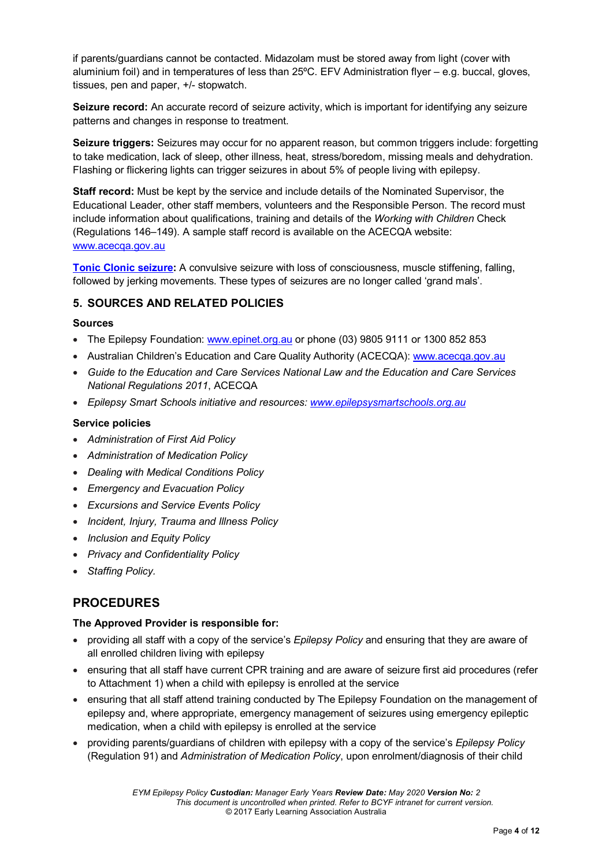if parents/guardians cannot be contacted. Midazolam must be stored away from light (cover with aluminium foil) and in temperatures of less than 25ºC. EFV Administration flyer – e.g. buccal, gloves, tissues, pen and paper, +/- stopwatch.

**Seizure record:** An accurate record of seizure activity, which is important for identifying any seizure patterns and changes in response to treatment.

**Seizure triggers:** Seizures may occur for no apparent reason, but common triggers include: forgetting to take medication, lack of sleep, other illness, heat, stress/boredom, missing meals and dehydration. Flashing or flickering lights can trigger seizures in about 5% of people living with epilepsy.

**Staff record:** Must be kept by the service and include details of the Nominated Supervisor, the Educational Leader, other staff members, volunteers and the Responsible Person. The record must include information about qualifications, training and details of the *Working with Children* Check (Regulations 146–149). A sample staff record is available on the ACECQA website: [www.acecqa.gov.au](http://www.acecqa.gov.au/)

**Tonic Clonic seizure:** A convulsive seizure with loss of consciousness, muscle stiffening, falling, followed by jerking movements. These types of seizures are no longer called 'grand mals'.

### **5. SOURCES AND RELATED POLICIES**

#### **Sources**

- The Epilepsy Foundation: [www.epinet.org.au](http://www.epinet.org.au/) or phone (03) 9805 9111 or 1300 852 853
- Australian Children's Education and Care Quality Authority (ACECQA): [www.acecqa.gov.au](http://www.acecqa.gov.au/)
- *Guide to the Education and Care Services National Law and the Education and Care Services National Regulations 2011*, ACECQA
- *Epilepsy Smart Schools initiative and resources: [www.epilepsysmartschools.org.au](http://www.epilepsysmartschools.org.au/)*

#### **Service policies**

- *Administration of First Aid Policy*
- *Administration of Medication Policy*
- *Dealing with Medical Conditions Policy*
- *Emergency and Evacuation Policy*
- *Excursions and Service Events Policy*
- *Incident, Injury, Trauma and Illness Policy*
- *Inclusion and Equity Policy*
- *Privacy and Confidentiality Policy*
- *Staffing Policy.*

## **PROCEDURES**

#### **The Approved Provider is responsible for:**

- providing all staff with a copy of the service's *Epilepsy Policy* and ensuring that they are aware of all enrolled children living with epilepsy
- ensuring that all staff have current CPR training and are aware of seizure first aid procedures (refer to Attachment 1) when a child with epilepsy is enrolled at the service
- ensuring that all staff attend training conducted by The Epilepsy Foundation on the management of epilepsy and, where appropriate, emergency management of seizures using emergency epileptic medication, when a child with epilepsy is enrolled at the service
- providing parents/guardians of children with epilepsy with a copy of the service's *Epilepsy Policy* (Regulation 91) and *Administration of Medication Policy*, upon enrolment/diagnosis of their child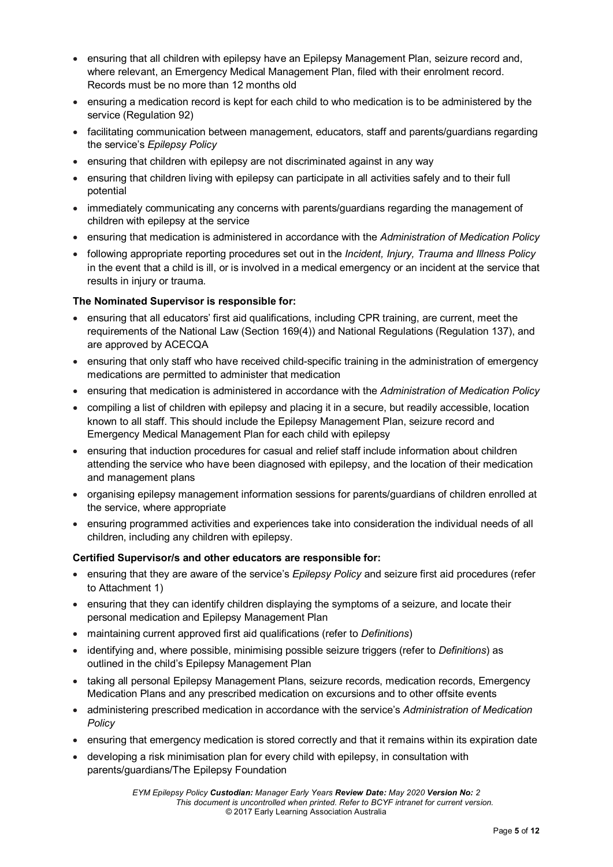- ensuring that all children with epilepsy have an Epilepsy Management Plan, seizure record and, where relevant, an Emergency Medical Management Plan, filed with their enrolment record. Records must be no more than 12 months old
- ensuring a medication record is kept for each child to who medication is to be administered by the service (Regulation 92)
- facilitating communication between management, educators, staff and parents/guardians regarding the service's *Epilepsy Policy*
- ensuring that children with epilepsy are not discriminated against in any way
- ensuring that children living with epilepsy can participate in all activities safely and to their full potential
- immediately communicating any concerns with parents/guardians regarding the management of children with epilepsy at the service
- ensuring that medication is administered in accordance with the *Administration of Medication Policy*
- following appropriate reporting procedures set out in the *Incident, Injury, Trauma and Illness Policy* in the event that a child is ill, or is involved in a medical emergency or an incident at the service that results in injury or trauma.

### **The Nominated Supervisor is responsible for:**

- ensuring that all educators' first aid qualifications, including CPR training, are current, meet the requirements of the National Law (Section 169(4)) and National Regulations (Regulation 137), and are approved by ACECQA
- ensuring that only staff who have received child-specific training in the administration of emergency medications are permitted to administer that medication
- ensuring that medication is administered in accordance with the *Administration of Medication Policy*
- compiling a list of children with epilepsy and placing it in a secure, but readily accessible, location known to all staff. This should include the Epilepsy Management Plan, seizure record and Emergency Medical Management Plan for each child with epilepsy
- ensuring that induction procedures for casual and relief staff include information about children attending the service who have been diagnosed with epilepsy, and the location of their medication and management plans
- organising epilepsy management information sessions for parents/guardians of children enrolled at the service, where appropriate
- ensuring programmed activities and experiences take into consideration the individual needs of all children, including any children with epilepsy.

#### **Certified Supervisor/s and other educators are responsible for:**

- ensuring that they are aware of the service's *Epilepsy Policy* and seizure first aid procedures (refer to Attachment 1)
- ensuring that they can identify children displaying the symptoms of a seizure, and locate their personal medication and Epilepsy Management Plan
- maintaining current approved first aid qualifications (refer to *Definitions*)
- identifying and, where possible, minimising possible seizure triggers (refer to *Definitions*) as outlined in the child's Epilepsy Management Plan
- taking all personal Epilepsy Management Plans, seizure records, medication records, Emergency Medication Plans and any prescribed medication on excursions and to other offsite events
- administering prescribed medication in accordance with the service's *Administration of Medication Policy*
- ensuring that emergency medication is stored correctly and that it remains within its expiration date
- developing a risk minimisation plan for every child with epilepsy, in consultation with parents/guardians/The Epilepsy Foundation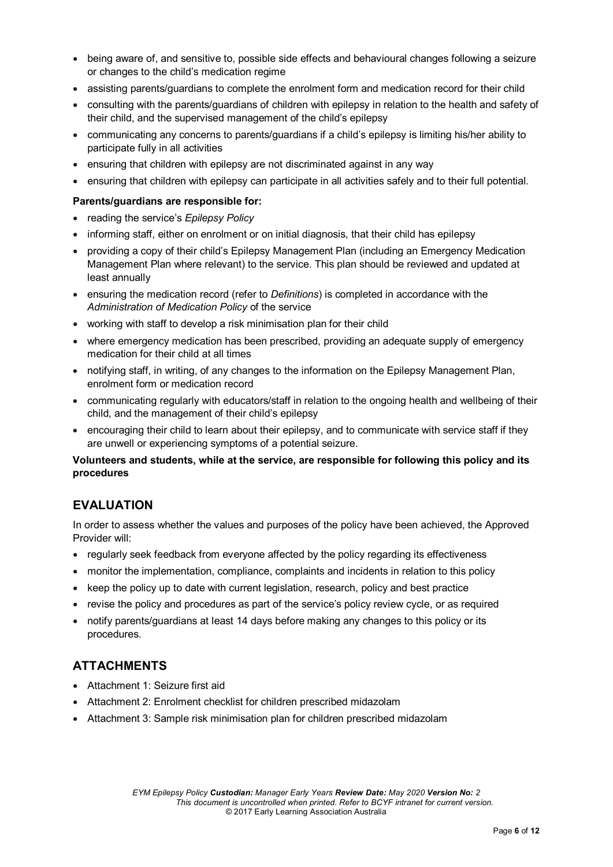- being aware of, and sensitive to, possible side effects and behavioural changes following a seizure or changes to the child's medication regime
- assisting parents/guardians to complete the enrolment form and medication record for their child
- consulting with the parents/guardians of children with epilepsy in relation to the health and safety of their child, and the supervised management of the child's epilepsy
- communicating any concerns to parents/guardians if a child's epilepsy is limiting his/her ability to participate fully in all activities
- ensuring that children with epilepsy are not discriminated against in any way
- ensuring that children with epilepsy can participate in all activities safely and to their full potential.

#### **Parents/guardians are responsible for:**

- reading the service's *Epilepsy Policy*
- informing staff, either on enrolment or on initial diagnosis, that their child has epilepsy
- providing a copy of their child's Epilepsy Management Plan (including an Emergency Medication Management Plan where relevant) to the service. This plan should be reviewed and updated at least annually
- ensuring the medication record (refer to *Definitions*) is completed in accordance with the *Administration of Medication Policy* of the service
- working with staff to develop a risk minimisation plan for their child
- where emergency medication has been prescribed, providing an adequate supply of emergency medication for their child at all times
- notifying staff, in writing, of any changes to the information on the Epilepsy Management Plan, enrolment form or medication record
- communicating regularly with educators/staff in relation to the ongoing health and wellbeing of their child, and the management of their child's epilepsy
- encouraging their child to learn about their epilepsy, and to communicate with service staff if they are unwell or experiencing symptoms of a potential seizure.

### **Volunteers and students, while at the service, are responsible for following this policy and its procedures**

# **EVALUATION**

In order to assess whether the values and purposes of the policy have been achieved, the Approved Provider will:

- regularly seek feedback from everyone affected by the policy regarding its effectiveness
- monitor the implementation, compliance, complaints and incidents in relation to this policy
- keep the policy up to date with current legislation, research, policy and best practice
- revise the policy and procedures as part of the service's policy review cycle, or as required
- notify parents/guardians at least 14 days before making any changes to this policy or its procedures.

# **ATTACHMENTS**

- Attachment 1: Seizure first aid
- Attachment 2: Enrolment checklist for children prescribed midazolam
- Attachment 3: Sample risk minimisation plan for children prescribed midazolam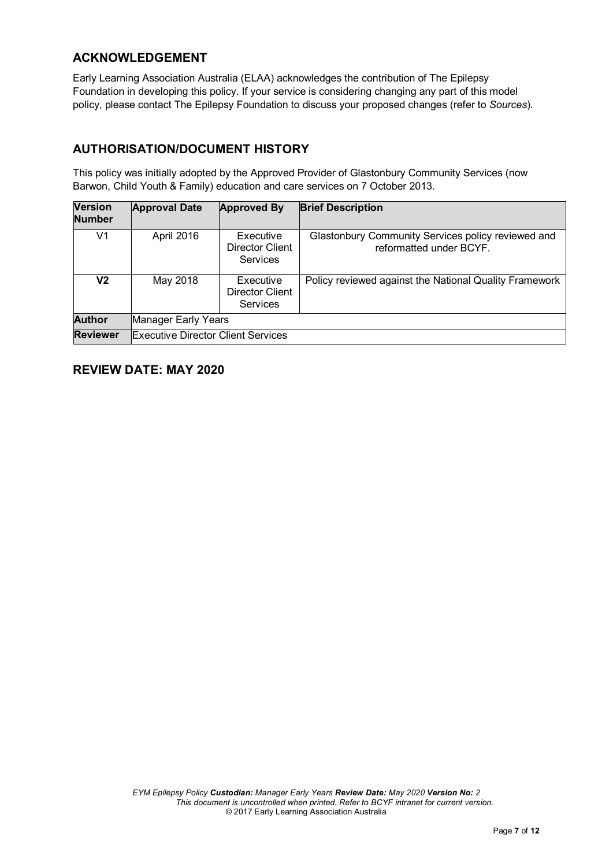## **ACKNOWLEDGEMENT**

Early Learning Association Australia (ELAA) acknowledges the contribution of The Epilepsy Foundation in developing this policy. If your service is considering changing any part of this model policy, please contact The Epilepsy Foundation to discuss your proposed changes (refer to *Sources*).

# **AUTHORISATION/DOCUMENT HISTORY**

This policy was initially adopted by the Approved Provider of Glastonbury Community Services (now Barwon, Child Youth & Family) education and care services on 7 October 2013.

| <b>Version</b><br><b>Number</b> | <b>Approval Date</b>                      | <b>Approved By</b>                       | <b>Brief Description</b>                                                      |  |  |
|---------------------------------|-------------------------------------------|------------------------------------------|-------------------------------------------------------------------------------|--|--|
| V1                              | April 2016                                | Executive<br>Director Client<br>Services | Glastonbury Community Services policy reviewed and<br>reformatted under BCYF. |  |  |
| V2                              | May 2018                                  | Executive<br>Director Client<br>Services | Policy reviewed against the National Quality Framework                        |  |  |
| <b>Author</b>                   | Manager Early Years                       |                                          |                                                                               |  |  |
| <b>Reviewer</b>                 | <b>Executive Director Client Services</b> |                                          |                                                                               |  |  |

# **REVIEW DATE: MAY 2020**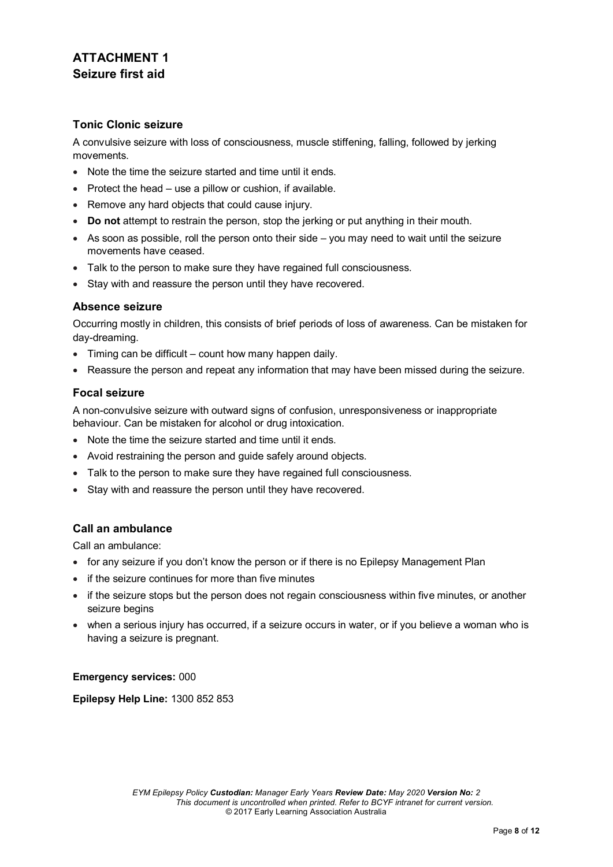# **ATTACHMENT 1 Seizure first aid**

### **Tonic Clonic seizure**

A convulsive seizure with loss of consciousness, muscle stiffening, falling, followed by jerking movements.

- Note the time the seizure started and time until it ends.
- Protect the head use a pillow or cushion, if available.
- Remove any hard objects that could cause injury.
- **Do not** attempt to restrain the person, stop the jerking or put anything in their mouth.
- As soon as possible, roll the person onto their side you may need to wait until the seizure movements have ceased.
- Talk to the person to make sure they have regained full consciousness.
- Stay with and reassure the person until they have recovered.

### **Absence seizure**

Occurring mostly in children, this consists of brief periods of loss of awareness. Can be mistaken for day-dreaming.

- Timing can be difficult count how many happen daily.
- Reassure the person and repeat any information that may have been missed during the seizure.

### **Focal seizure**

A non-convulsive seizure with outward signs of confusion, unresponsiveness or inappropriate behaviour. Can be mistaken for alcohol or drug intoxication.

- Note the time the seizure started and time until it ends.
- Avoid restraining the person and guide safely around objects.
- Talk to the person to make sure they have regained full consciousness.
- Stay with and reassure the person until they have recovered.

### **Call an ambulance**

Call an ambulance:

- for any seizure if you don't know the person or if there is no Epilepsy Management Plan
- if the seizure continues for more than five minutes
- if the seizure stops but the person does not regain consciousness within five minutes, or another seizure begins
- when a serious injury has occurred, if a seizure occurs in water, or if you believe a woman who is having a seizure is pregnant.

#### **Emergency services:** 000

**Epilepsy Help Line:** 1300 852 853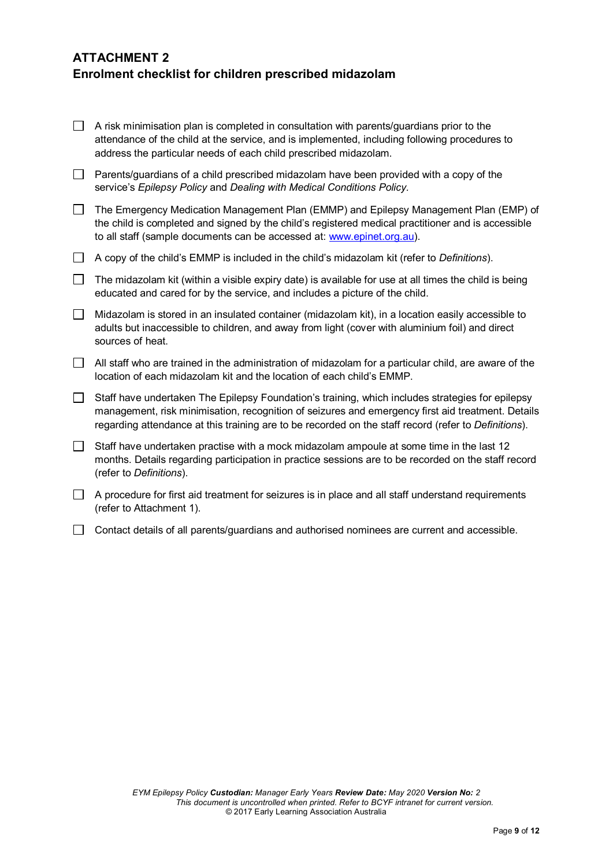# **ATTACHMENT 2 Enrolment checklist for children prescribed midazolam**

- $\Box$  A risk minimisation plan is completed in consultation with parents/guardians prior to the attendance of the child at the service, and is implemented, including following procedures to address the particular needs of each child prescribed midazolam.
- $\Box$  Parents/guardians of a child prescribed midazolam have been provided with a copy of the service's *Epilepsy Policy* and *Dealing with Medical Conditions Policy.*
- The Emergency Medication Management Plan (EMMP) and Epilepsy Management Plan (EMP) of the child is completed and signed by the child's registered medical practitioner and is accessible to all staff (sample documents can be accessed at: [www.epinet.org.au\)](http://www.epinet.org.au/).
- A copy of the child's EMMP is included in the child's midazolam kit (refer to *Definitions*).
- The midazolam kit (within a visible expiry date) is available for use at all times the child is being educated and cared for by the service, and includes a picture of the child.
- $\Box$  Midazolam is stored in an insulated container (midazolam kit), in a location easily accessible to adults but inaccessible to children, and away from light (cover with aluminium foil) and direct sources of heat.
- $\Box$  All staff who are trained in the administration of midazolam for a particular child, are aware of the location of each midazolam kit and the location of each child's EMMP.
- $\Box$  Staff have undertaken The Epilepsy Foundation's training, which includes strategies for epilepsy management, risk minimisation, recognition of seizures and emergency first aid treatment. Details regarding attendance at this training are to be recorded on the staff record (refer to *Definitions*).
- $\Box$  Staff have undertaken practise with a mock midazolam ampoule at some time in the last 12 months. Details regarding participation in practice sessions are to be recorded on the staff record (refer to *Definitions*).
- $\Box$  A procedure for first aid treatment for seizures is in place and all staff understand requirements (refer to Attachment 1).
- $\Box$  Contact details of all parents/guardians and authorised nominees are current and accessible.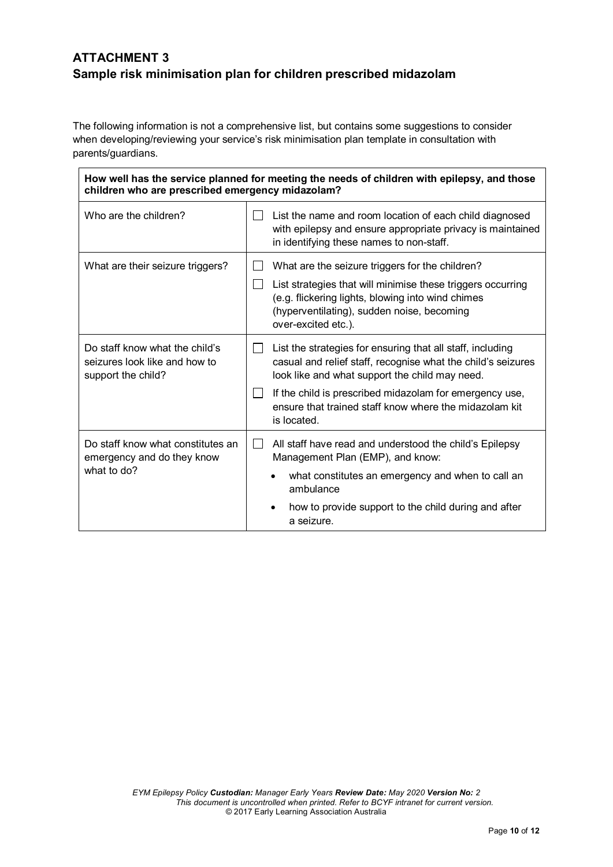# **ATTACHMENT 3 Sample risk minimisation plan for children prescribed midazolam**

The following information is not a comprehensive list, but contains some suggestions to consider when developing/reviewing your service's risk minimisation plan template in consultation with parents/guardians.

| How well has the service planned for meeting the needs of children with epilepsy, and those<br>children who are prescribed emergency midazolam? |                                                                                                                                                                                                                                                                                                                                        |  |  |  |  |
|-------------------------------------------------------------------------------------------------------------------------------------------------|----------------------------------------------------------------------------------------------------------------------------------------------------------------------------------------------------------------------------------------------------------------------------------------------------------------------------------------|--|--|--|--|
| Who are the children?                                                                                                                           | List the name and room location of each child diagnosed<br>with epilepsy and ensure appropriate privacy is maintained<br>in identifying these names to non-staff.                                                                                                                                                                      |  |  |  |  |
| What are their seizure triggers?                                                                                                                | What are the seizure triggers for the children?<br>List strategies that will minimise these triggers occurring<br>$\Box$<br>(e.g. flickering lights, blowing into wind chimes<br>(hyperventilating), sudden noise, becoming<br>over-excited etc.).                                                                                     |  |  |  |  |
| Do staff know what the child's<br>seizures look like and how to<br>support the child?                                                           | List the strategies for ensuring that all staff, including<br>$\perp$<br>casual and relief staff, recognise what the child's seizures<br>look like and what support the child may need.<br>If the child is prescribed midazolam for emergency use,<br>$\perp$<br>ensure that trained staff know where the midazolam kit<br>is located. |  |  |  |  |
| Do staff know what constitutes an<br>emergency and do they know<br>what to do?                                                                  | All staff have read and understood the child's Epilepsy<br>$\perp$<br>Management Plan (EMP), and know:<br>what constitutes an emergency and when to call an<br>ambulance<br>how to provide support to the child during and after<br>a seizure.                                                                                         |  |  |  |  |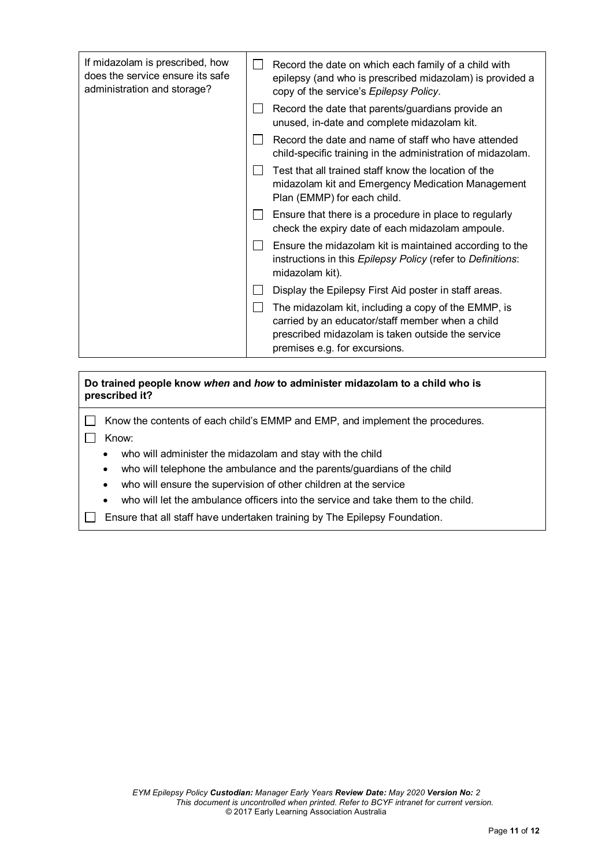| Record the date on which each family of a child with<br>epilepsy (and who is prescribed midazolam) is provided a<br>copy of the service's Epilepsy Policy.                                    |  |
|-----------------------------------------------------------------------------------------------------------------------------------------------------------------------------------------------|--|
| Record the date that parents/guardians provide an<br>unused, in-date and complete midazolam kit.                                                                                              |  |
| Record the date and name of staff who have attended<br>child-specific training in the administration of midazolam.                                                                            |  |
| Test that all trained staff know the location of the<br>midazolam kit and Emergency Medication Management<br>Plan (EMMP) for each child.                                                      |  |
| Ensure that there is a procedure in place to regularly<br>check the expiry date of each midazolam ampoule.                                                                                    |  |
| Ensure the midazolam kit is maintained according to the<br>instructions in this Epilepsy Policy (refer to Definitions:<br>midazolam kit).                                                     |  |
| Display the Epilepsy First Aid poster in staff areas.                                                                                                                                         |  |
| The midazolam kit, including a copy of the EMMP, is<br>carried by an educator/staff member when a child<br>prescribed midazolam is taken outside the service<br>premises e.g. for excursions. |  |
|                                                                                                                                                                                               |  |

**Do trained people know** *when* **and** *how* **to administer midazolam to a child who is prescribed it?**

 $\Box$  Know the contents of each child's EMMP and EMP, and implement the procedures.

 $\Box$  Know:

- who will administer the midazolam and stay with the child
- who will telephone the ambulance and the parents/guardians of the child
- who will ensure the supervision of other children at the service
- who will let the ambulance officers into the service and take them to the child.
- $\Box$  Ensure that all staff have undertaken training by The Epilepsy Foundation.